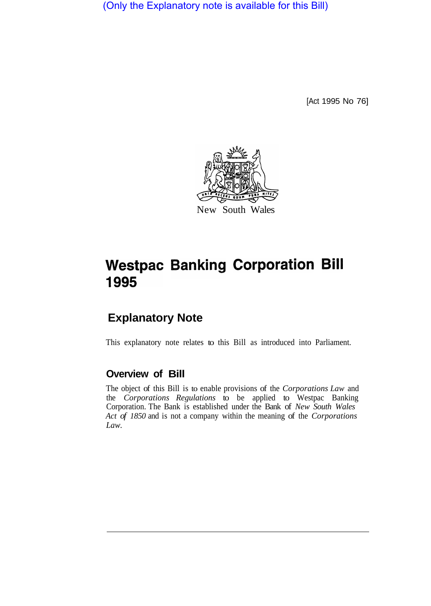(Only the Explanatory note is available for this Bill)

[Act 1995 No 76]



## **Westpac Banking Corporation Bill** 1995

## **Explanatory Note**

This explanatory note relates to this Bill as introduced into Parliament.

## **Overview of Bill**

The object of this Bill is to enable provisions of the *Corporations Law* and the *Corporations Regulations* to be applied to Westpac Banking Corporation. The Bank is established under the Bank of *New South Wales Act of 1850* and is not a company within the meaning of the *Corporations Law.*